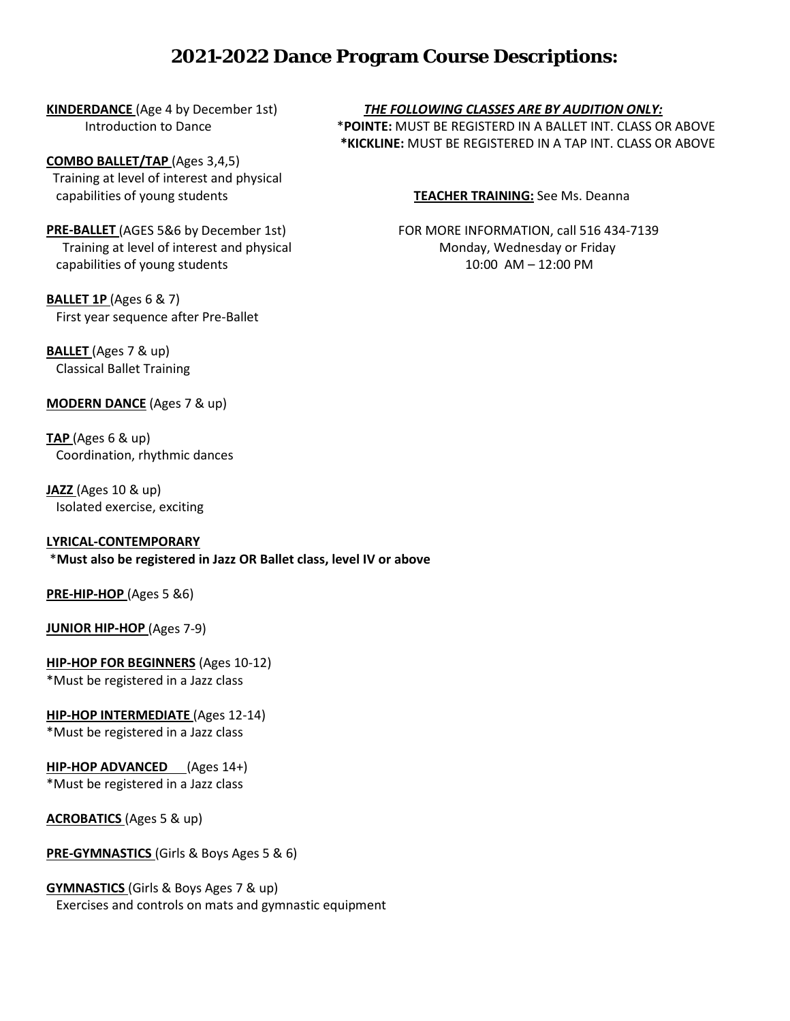## **2021-2022 Dance Program Course Descriptions:**

**COMBO BALLET/TAP** (Ages 3,4,5) Training at level of interest and physical capabilities of young students **TEACHER TRAINING:** See Ms. Deanna

Training at level of interest and physical Monday, Wednesday or Friday capabilities of young students 10:00 AM – 12:00 PM

**BALLET 1P** (Ages 6 & 7) First year sequence after Pre-Ballet

**BALLET** (Ages 7 & up) Classical Ballet Training

**MODERN DANCE** (Ages 7 & up)

**TAP** (Ages 6 & up) Coordination, rhythmic dances

**JAZZ** (Ages 10 & up) Isolated exercise, exciting

#### **LYRICAL-CONTEMPORARY**

\***Must also be registered in Jazz OR Ballet class, level IV or above**

**PRE-HIP-HOP** (Ages 5 &6)

**JUNIOR HIP-HOP** (Ages 7-9)

**HIP-HOP FOR BEGINNERS** (Ages 10-12) \*Must be registered in a Jazz class

**HIP-HOP INTERMEDIATE** (Ages 12-14) \*Must be registered in a Jazz class

**HIP-HOP ADVANCED** (Ages 14+)

\*Must be registered in a Jazz class

**ACROBATICS** (Ages 5 & up)

**PRE-GYMNASTICS** (Girls & Boys Ages 5 & 6)

### **GYMNASTICS** (Girls & Boys Ages 7 & up)

Exercises and controls on mats and gymnastic equipment

**KINDERDANCE** (Age 4 by December 1st) *THE FOLLOWING CLASSES ARE BY AUDITION ONLY:* Introduction to Dance \***POINTE:** MUST BE REGISTERD IN A BALLET INT. CLASS OR ABOVE **\*KICKLINE:** MUST BE REGISTERED IN A TAP INT. CLASS OR ABOVE

**PRE-BALLET** (AGES 5&6 by December 1st) FOR MORE INFORMATION, call 516 434-7139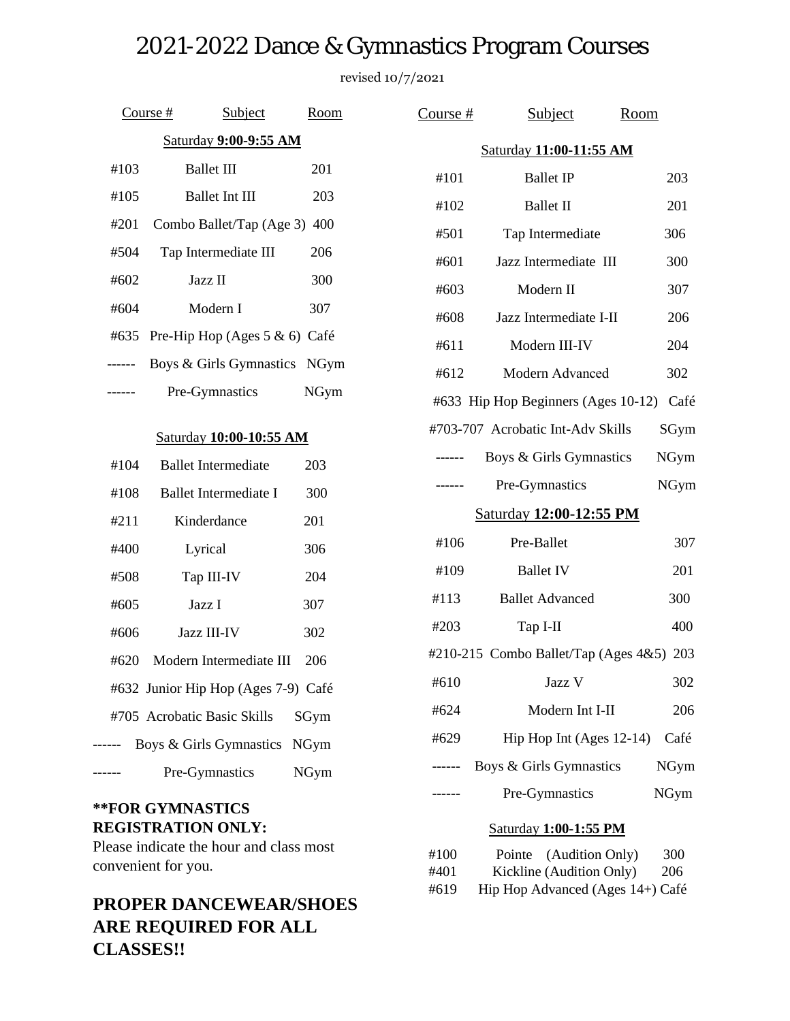# 2021-2022 Dance & Gymnastics Program Courses

revised 10/7/2021

|                       |      | Course #<br>Subject               | Room |  |  |
|-----------------------|------|-----------------------------------|------|--|--|
| Saturday 9:00-9:55 AM |      |                                   |      |  |  |
|                       | #103 | <b>Ballet III</b>                 | 201  |  |  |
|                       | #105 | <b>Ballet Int III</b>             | 203  |  |  |
|                       | #201 | Combo Ballet/Tap (Age 3) 400      |      |  |  |
|                       | #504 | Tap Intermediate III              | 206  |  |  |
|                       | #602 | Jazz II                           | 300  |  |  |
|                       | #604 | Modern I                          | 307  |  |  |
|                       | #635 | Pre-Hip Hop (Ages $5 \& 6$ ) Café |      |  |  |
|                       |      | Boys & Girls Gymnastics NGym      |      |  |  |
|                       |      | Pre-Gymnastics                    | NGym |  |  |
|                       |      |                                   |      |  |  |

#### Saturday **10:00-10:55 AM**

| #104 | <b>Ballet Intermediate</b>          | 203  |
|------|-------------------------------------|------|
| #108 | Ballet Intermediate I               | 300  |
| #211 | Kinderdance                         | 201  |
| #400 | Lyrical                             | 306  |
| #508 | Tap III-IV                          | 204  |
| #605 | Jazz I                              | 307  |
| #606 | <b>Jazz III-IV</b>                  | 302  |
| #620 | Modern Intermediate III             | 206  |
|      | #632 Junior Hip Hop (Ages 7-9) Café |      |
|      | #705 Acrobatic Basic Skills         | SGym |
|      | Boys & Girls Gymnastics NGym        |      |
|      | Pre-Gymnastics                      | NGym |

## **\*\*FOR GYMNASTICS REGISTRATION ONLY:**

Please indicate the hour and class most convenient for you.

# **PROPER DANCEWEAR/SHOES ARE REQUIRED FOR ALL CLASSES!!**

| Course $#$                               | <b>Subject</b>                                                                         | Room        |  |  |  |
|------------------------------------------|----------------------------------------------------------------------------------------|-------------|--|--|--|
| <b>Saturday 11:00-11:55 AM</b>           |                                                                                        |             |  |  |  |
| #101                                     | <b>Ballet IP</b>                                                                       | 203         |  |  |  |
| #102                                     | <b>Ballet II</b>                                                                       | 201         |  |  |  |
| #501                                     | Tap Intermediate                                                                       | 306         |  |  |  |
| #601                                     | Jazz Intermediate III                                                                  | 300         |  |  |  |
| #603                                     | Modern II                                                                              | 307         |  |  |  |
| #608                                     | Jazz Intermediate I-II                                                                 | 206         |  |  |  |
| #611                                     | Modern III-IV                                                                          | 204         |  |  |  |
| #612                                     | Modern Advanced                                                                        | 302         |  |  |  |
|                                          | #633 Hip Hop Beginners (Ages 10-12) Café                                               |             |  |  |  |
|                                          | #703-707 Acrobatic Int-Adv Skills                                                      | SGym        |  |  |  |
|                                          | Boys & Girls Gymnastics                                                                | <b>NGym</b> |  |  |  |
| .                                        | Pre-Gymnastics                                                                         | <b>NGym</b> |  |  |  |
|                                          | <b>Saturday 12:00-12:55 PM</b>                                                         |             |  |  |  |
| #106                                     | Pre-Ballet                                                                             | 307         |  |  |  |
| #109                                     | <b>Ballet IV</b>                                                                       | 201         |  |  |  |
| #113                                     | <b>Ballet Advanced</b>                                                                 | 300         |  |  |  |
| #203                                     | Tap I-II                                                                               | 400         |  |  |  |
| #210-215 Combo Ballet/Tap (Ages 4&5) 203 |                                                                                        |             |  |  |  |
| #610                                     | Jazz V                                                                                 | 302         |  |  |  |
| #624                                     | Modern Int I-II                                                                        | 206         |  |  |  |
| #629                                     | Hip Hop Int (Ages 12-14)                                                               | Café        |  |  |  |
|                                          | Boys & Girls Gymnastics                                                                | NGym        |  |  |  |
|                                          | Pre-Gymnastics                                                                         | <b>NGym</b> |  |  |  |
| <b>Saturday 1:00-1:55 PM</b>             |                                                                                        |             |  |  |  |
| #100<br>#401<br>#619                     | Pointe (Audition Only)<br>Kickline (Audition Only)<br>Hip Hop Advanced (Ages 14+) Café | 300<br>206  |  |  |  |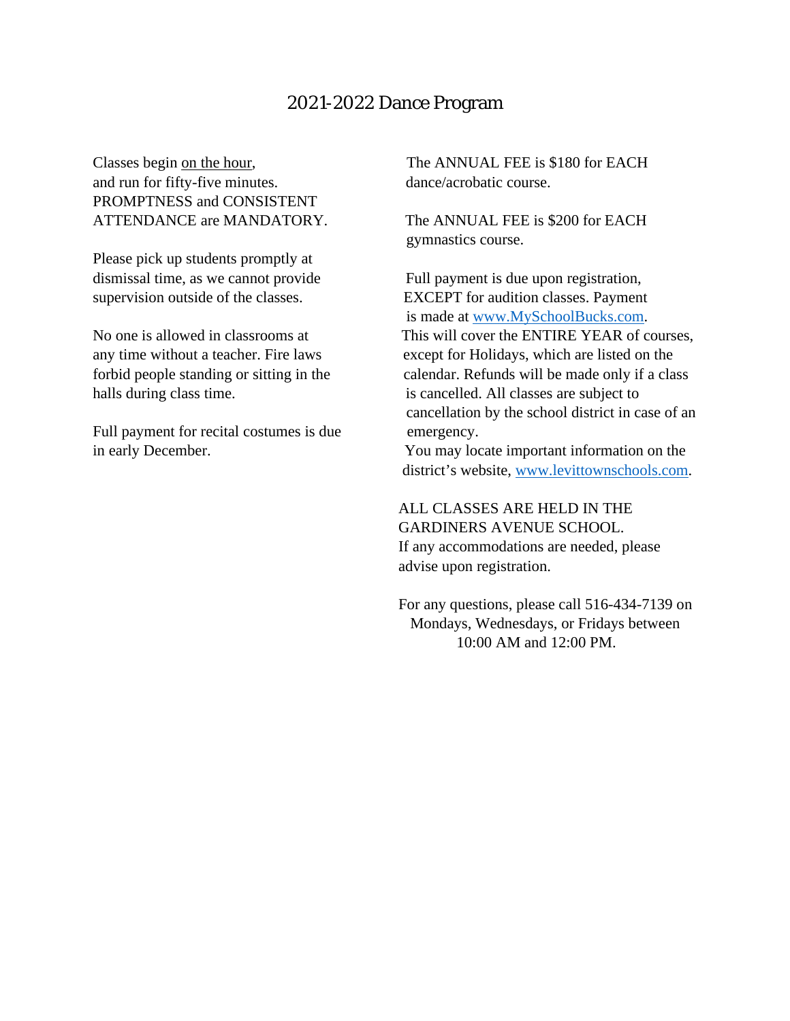## 2021-2022 Dance Program

and run for fifty-five minutes. dance/acrobatic course. PROMPTNESS and CONSISTENT ATTENDANCE are MANDATORY. The ANNUAL FEE is \$200 for EACH

Please pick up students promptly at dismissal time, as we cannot provide Full payment is due upon registration,

halls during class time. is cancelled. All classes are subject to

Full payment for recital costumes is due emergency.

Classes begin on the hour, The ANNUAL FEE is \$180 for EACH

gymnastics course.

supervision outside of the classes. EXCEPT for audition classes. Payment is made at [www.MySchoolBucks.com.](http://www.myschoolbucks.com/) No one is allowed in classrooms at This will cover the ENTIRE YEAR of courses, any time without a teacher. Fire laws except for Holidays, which are listed on the forbid people standing or sitting in the calendar. Refunds will be made only if a class cancellation by the school district in case of an

in early December. You may locate important information on the district's website, [www.levittownschools.com.](http://www.levittownschools.com/)

> ALL CLASSES ARE HELD IN THE GARDINERS AVENUE SCHOOL. If any accommodations are needed, please advise upon registration.

 For any questions, please call 516-434-7139 on Mondays, Wednesdays, or Fridays between 10:00 AM and 12:00 PM.